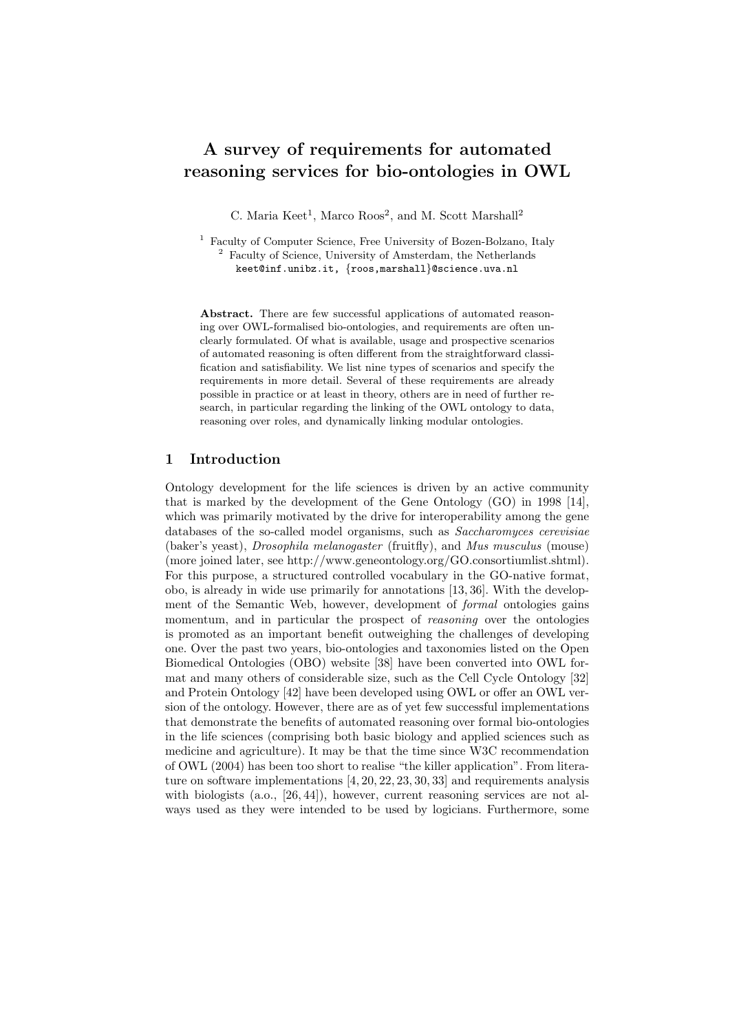# A survey of requirements for automated reasoning services for bio-ontologies in OWL

C. Maria Keet<sup>1</sup>, Marco Roos<sup>2</sup>, and M. Scott Marshall<sup>2</sup>

<sup>1</sup> Faculty of Computer Science, Free University of Bozen-Bolzano, Italy <sup>2</sup> Faculty of Science, University of Amsterdam, the Netherlands keet@inf.unibz.it, {roos,marshall}@science.uva.nl

Abstract. There are few successful applications of automated reasoning over OWL-formalised bio-ontologies, and requirements are often unclearly formulated. Of what is available, usage and prospective scenarios of automated reasoning is often different from the straightforward classification and satisfiability. We list nine types of scenarios and specify the requirements in more detail. Several of these requirements are already possible in practice or at least in theory, others are in need of further research, in particular regarding the linking of the OWL ontology to data, reasoning over roles, and dynamically linking modular ontologies.

## 1 Introduction

Ontology development for the life sciences is driven by an active community that is marked by the development of the Gene Ontology (GO) in 1998 [14], which was primarily motivated by the drive for interoperability among the gene databases of the so-called model organisms, such as Saccharomyces cerevisiae (baker's yeast), Drosophila melanogaster (fruitfly), and Mus musculus (mouse) (more joined later, see http://www.geneontology.org/GO.consortiumlist.shtml). For this purpose, a structured controlled vocabulary in the GO-native format, obo, is already in wide use primarily for annotations [13, 36]. With the development of the Semantic Web, however, development of formal ontologies gains momentum, and in particular the prospect of *reasoning* over the ontologies is promoted as an important benefit outweighing the challenges of developing one. Over the past two years, bio-ontologies and taxonomies listed on the Open Biomedical Ontologies (OBO) website [38] have been converted into OWL format and many others of considerable size, such as the Cell Cycle Ontology [32] and Protein Ontology [42] have been developed using OWL or offer an OWL version of the ontology. However, there are as of yet few successful implementations that demonstrate the benefits of automated reasoning over formal bio-ontologies in the life sciences (comprising both basic biology and applied sciences such as medicine and agriculture). It may be that the time since W3C recommendation of OWL (2004) has been too short to realise "the killer application". From literature on software implementations [4, 20, 22, 23, 30, 33] and requirements analysis with biologists (a.o., [26, 44]), however, current reasoning services are not always used as they were intended to be used by logicians. Furthermore, some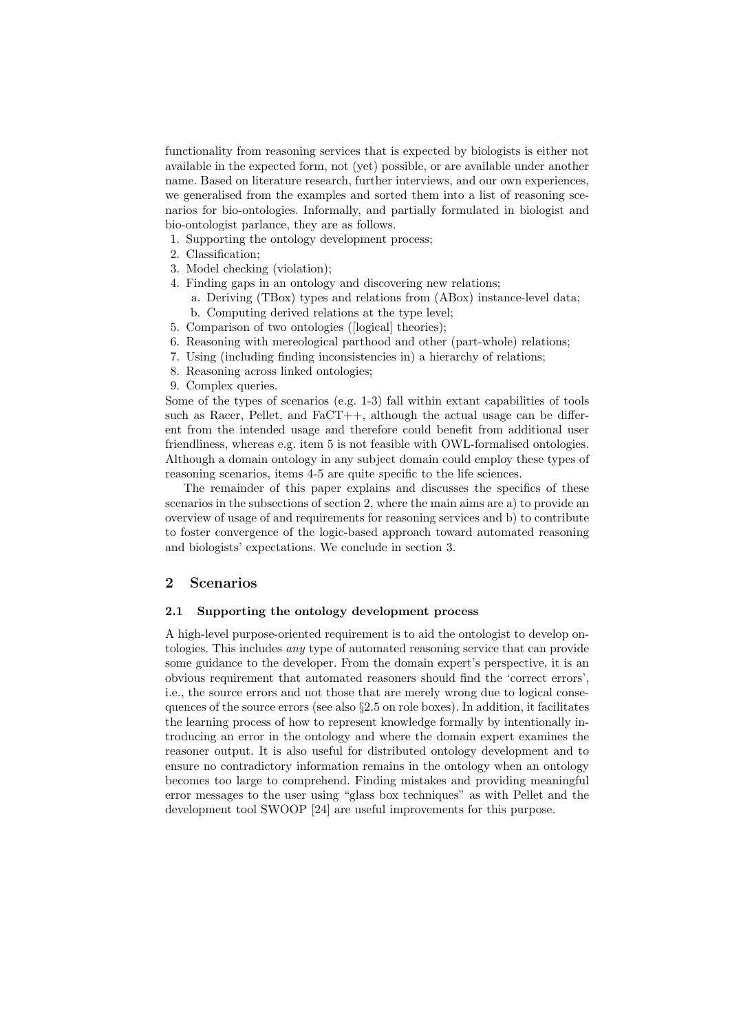functionality from reasoning services that is expected by biologists is either not available in the expected form, not (yet) possible, or are available under another name. Based on literature research, further interviews, and our own experiences, we generalised from the examples and sorted them into a list of reasoning scenarios for bio-ontologies. Informally, and partially formulated in biologist and bio-ontologist parlance, they are as follows.

- 1. Supporting the ontology development process;
- 2. Classification;
- 3. Model checking (violation);
- 4. Finding gaps in an ontology and discovering new relations;
	- a. Deriving (TBox) types and relations from (ABox) instance-level data; b. Computing derived relations at the type level;
- 5. Comparison of two ontologies ([logical] theories);
- 6. Reasoning with mereological parthood and other (part-whole) relations;
- 7. Using (including finding inconsistencies in) a hierarchy of relations;
- 8. Reasoning across linked ontologies;
- 9. Complex queries.

Some of the types of scenarios (e.g. 1-3) fall within extant capabilities of tools such as Racer, Pellet, and  $FaCT++$ , although the actual usage can be different from the intended usage and therefore could benefit from additional user friendliness, whereas e.g. item 5 is not feasible with OWL-formalised ontologies. Although a domain ontology in any subject domain could employ these types of reasoning scenarios, items 4-5 are quite specific to the life sciences.

The remainder of this paper explains and discusses the specifics of these scenarios in the subsections of section 2, where the main aims are a) to provide an overview of usage of and requirements for reasoning services and b) to contribute to foster convergence of the logic-based approach toward automated reasoning and biologists' expectations. We conclude in section 3.

# 2 Scenarios

#### 2.1 Supporting the ontology development process

A high-level purpose-oriented requirement is to aid the ontologist to develop ontologies. This includes any type of automated reasoning service that can provide some guidance to the developer. From the domain expert's perspective, it is an obvious requirement that automated reasoners should find the 'correct errors', i.e., the source errors and not those that are merely wrong due to logical consequences of the source errors (see also §2.5 on role boxes). In addition, it facilitates the learning process of how to represent knowledge formally by intentionally introducing an error in the ontology and where the domain expert examines the reasoner output. It is also useful for distributed ontology development and to ensure no contradictory information remains in the ontology when an ontology becomes too large to comprehend. Finding mistakes and providing meaningful error messages to the user using "glass box techniques" as with Pellet and the development tool SWOOP [24] are useful improvements for this purpose.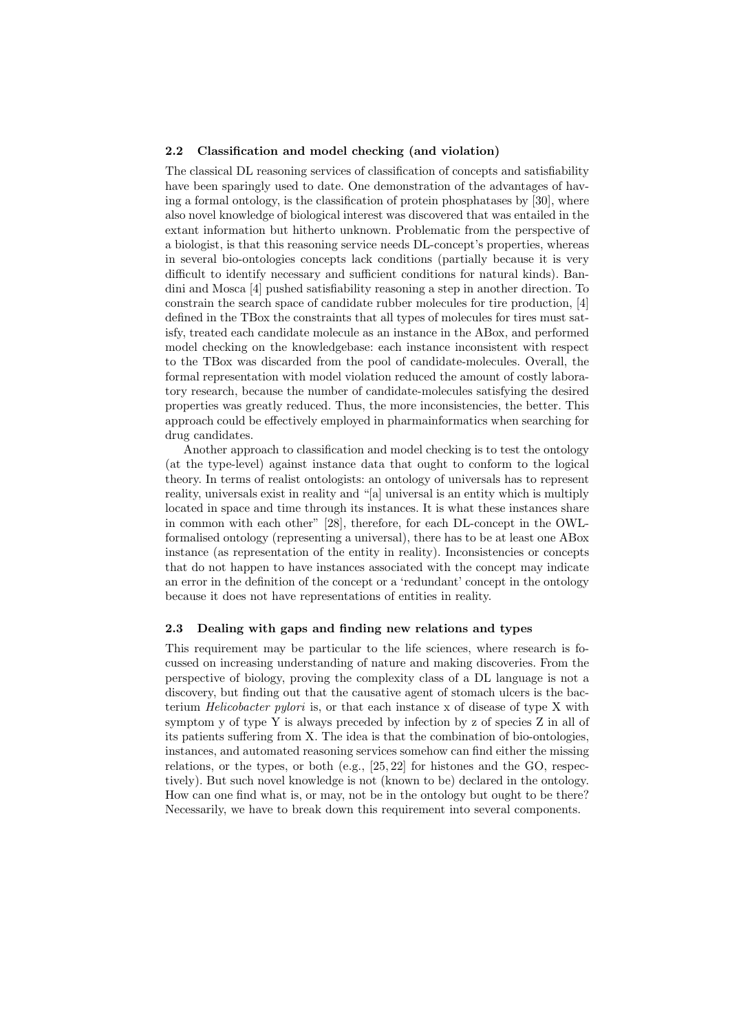#### 2.2 Classification and model checking (and violation)

The classical DL reasoning services of classification of concepts and satisfiability have been sparingly used to date. One demonstration of the advantages of having a formal ontology, is the classification of protein phosphatases by [30], where also novel knowledge of biological interest was discovered that was entailed in the extant information but hitherto unknown. Problematic from the perspective of a biologist, is that this reasoning service needs DL-concept's properties, whereas in several bio-ontologies concepts lack conditions (partially because it is very difficult to identify necessary and sufficient conditions for natural kinds). Bandini and Mosca [4] pushed satisfiability reasoning a step in another direction. To constrain the search space of candidate rubber molecules for tire production, [4] defined in the TBox the constraints that all types of molecules for tires must satisfy, treated each candidate molecule as an instance in the ABox, and performed model checking on the knowledgebase: each instance inconsistent with respect to the TBox was discarded from the pool of candidate-molecules. Overall, the formal representation with model violation reduced the amount of costly laboratory research, because the number of candidate-molecules satisfying the desired properties was greatly reduced. Thus, the more inconsistencies, the better. This approach could be effectively employed in pharmainformatics when searching for drug candidates.

Another approach to classification and model checking is to test the ontology (at the type-level) against instance data that ought to conform to the logical theory. In terms of realist ontologists: an ontology of universals has to represent reality, universals exist in reality and "[a] universal is an entity which is multiply located in space and time through its instances. It is what these instances share in common with each other" [28], therefore, for each DL-concept in the OWLformalised ontology (representing a universal), there has to be at least one ABox instance (as representation of the entity in reality). Inconsistencies or concepts that do not happen to have instances associated with the concept may indicate an error in the definition of the concept or a 'redundant' concept in the ontology because it does not have representations of entities in reality.

#### 2.3 Dealing with gaps and finding new relations and types

This requirement may be particular to the life sciences, where research is focussed on increasing understanding of nature and making discoveries. From the perspective of biology, proving the complexity class of a DL language is not a discovery, but finding out that the causative agent of stomach ulcers is the bacterium *Helicobacter pylori* is, or that each instance x of disease of type X with symptom y of type Y is always preceded by infection by z of species Z in all of its patients suffering from X. The idea is that the combination of bio-ontologies, instances, and automated reasoning services somehow can find either the missing relations, or the types, or both  $(e.g., [25, 22]$  for histones and the GO, respectively). But such novel knowledge is not (known to be) declared in the ontology. How can one find what is, or may, not be in the ontology but ought to be there? Necessarily, we have to break down this requirement into several components.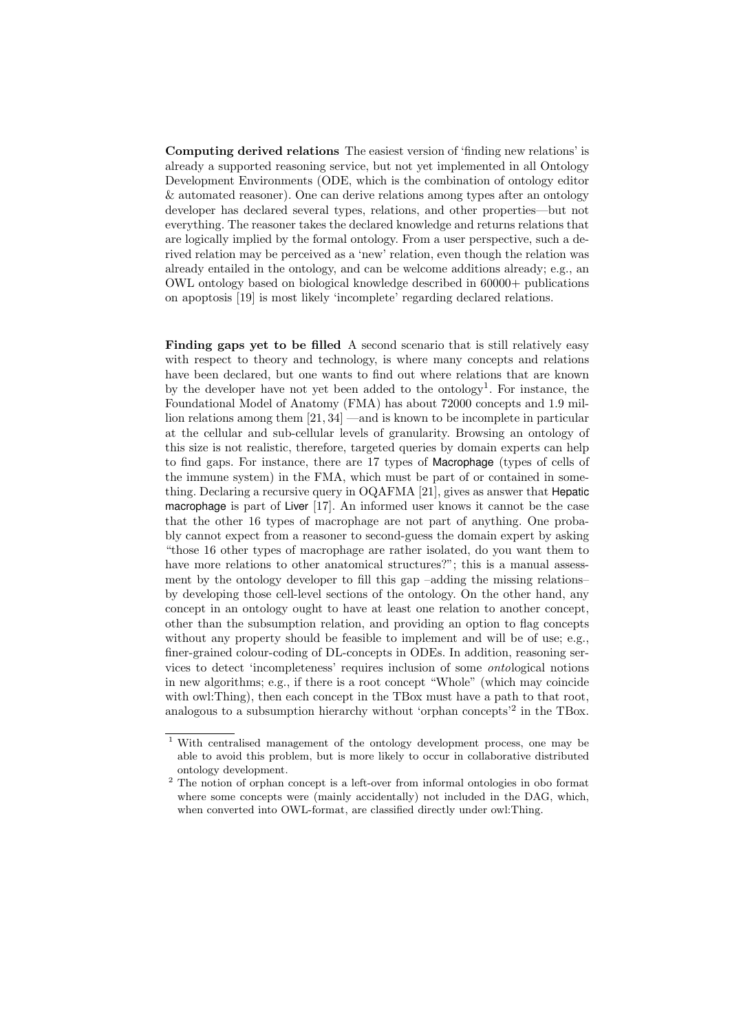Computing derived relations The easiest version of 'finding new relations' is already a supported reasoning service, but not yet implemented in all Ontology Development Environments (ODE, which is the combination of ontology editor & automated reasoner). One can derive relations among types after an ontology developer has declared several types, relations, and other properties—but not everything. The reasoner takes the declared knowledge and returns relations that are logically implied by the formal ontology. From a user perspective, such a derived relation may be perceived as a 'new' relation, even though the relation was already entailed in the ontology, and can be welcome additions already; e.g., an OWL ontology based on biological knowledge described in 60000+ publications on apoptosis [19] is most likely 'incomplete' regarding declared relations.

Finding gaps yet to be filled A second scenario that is still relatively easy with respect to theory and technology, is where many concepts and relations have been declared, but one wants to find out where relations that are known by the developer have not yet been added to the ontology<sup>1</sup>. For instance, the Foundational Model of Anatomy (FMA) has about 72000 concepts and 1.9 million relations among them [21, 34] —and is known to be incomplete in particular at the cellular and sub-cellular levels of granularity. Browsing an ontology of this size is not realistic, therefore, targeted queries by domain experts can help to find gaps. For instance, there are 17 types of Macrophage (types of cells of the immune system) in the FMA, which must be part of or contained in something. Declaring a recursive query in OQAFMA [21], gives as answer that Hepatic macrophage is part of Liver [17]. An informed user knows it cannot be the case that the other 16 types of macrophage are not part of anything. One probably cannot expect from a reasoner to second-guess the domain expert by asking "those 16 other types of macrophage are rather isolated, do you want them to have more relations to other anatomical structures?"; this is a manual assessment by the ontology developer to fill this gap –adding the missing relations– by developing those cell-level sections of the ontology. On the other hand, any concept in an ontology ought to have at least one relation to another concept, other than the subsumption relation, and providing an option to flag concepts without any property should be feasible to implement and will be of use; e.g., finer-grained colour-coding of DL-concepts in ODEs. In addition, reasoning services to detect 'incompleteness' requires inclusion of some ontological notions in new algorithms; e.g., if there is a root concept "Whole" (which may coincide with owl: Thing), then each concept in the TBox must have a path to that root, analogous to a subsumption hierarchy without 'orphan concepts'<sup>2</sup> in the TBox.

<sup>1</sup> With centralised management of the ontology development process, one may be able to avoid this problem, but is more likely to occur in collaborative distributed ontology development.

<sup>2</sup> The notion of orphan concept is a left-over from informal ontologies in obo format where some concepts were (mainly accidentally) not included in the DAG, which, when converted into OWL-format, are classified directly under owl:Thing.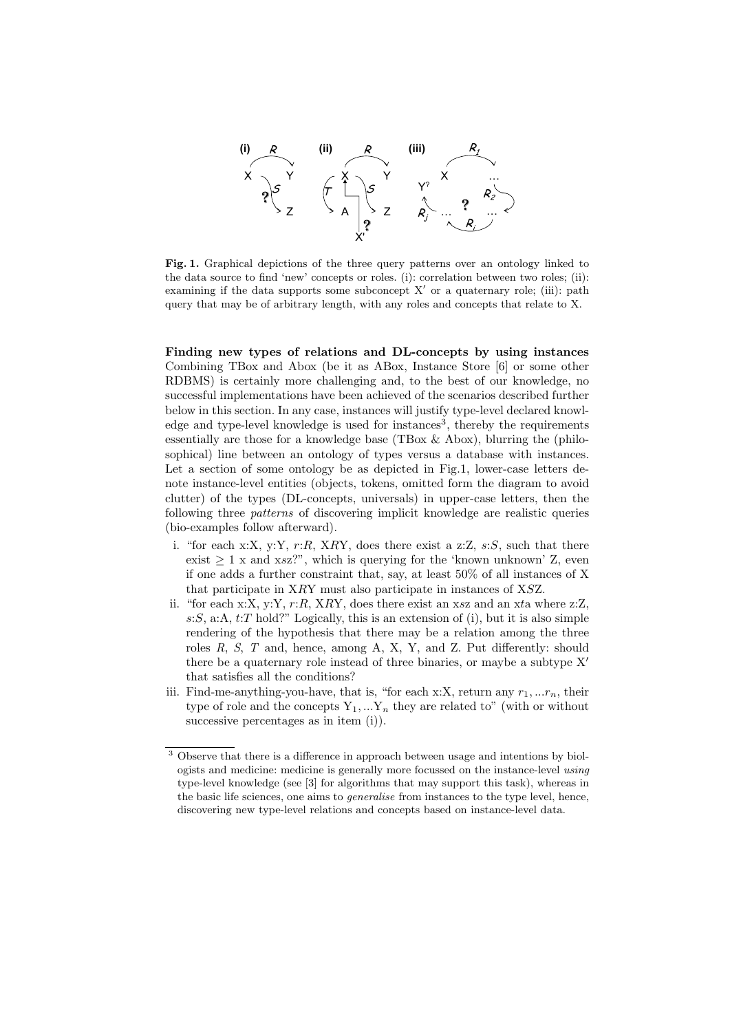

Fig. 1. Graphical depictions of the three query patterns over an ontology linked to the data source to find 'new' concepts or roles. (i): correlation between two roles; (ii): examining if the data supports some subconcept  $X'$  or a quaternary role; (iii): path query that may be of arbitrary length, with any roles and concepts that relate to X.

Finding new types of relations and DL-concepts by using instances Combining TBox and Abox (be it as ABox, Instance Store [6] or some other RDBMS) is certainly more challenging and, to the best of our knowledge, no successful implementations have been achieved of the scenarios described further below in this section. In any case, instances will justify type-level declared knowledge and type-level knowledge is used for instances<sup>3</sup>, thereby the requirements essentially are those for a knowledge base (TBox  $\&$  Abox), blurring the (philosophical) line between an ontology of types versus a database with instances. Let a section of some ontology be as depicted in Fig.1, lower-case letters denote instance-level entities (objects, tokens, omitted form the diagram to avoid clutter) of the types (DL-concepts, universals) in upper-case letters, then the following three patterns of discovering implicit knowledge are realistic queries (bio-examples follow afterward).

- i. "for each x:X, y:Y,  $r:R$ , XRY, does there exist a z:Z,  $s:S$ , such that there exist  $\geq 1$  x and xsz?", which is querying for the 'known unknown' Z, even if one adds a further constraint that, say, at least 50% of all instances of X that participate in XRY must also participate in instances of XSZ.
- ii. "for each x:X, y:Y,  $r:R$ , XRY, does there exist an xsz and an xta where z:Z,  $s:S$ , a:A,  $t:T$  hold?" Logically, this is an extension of (i), but it is also simple rendering of the hypothesis that there may be a relation among the three roles R, S, T and, hence, among A, X, Y, and Z. Put differently: should there be a quaternary role instead of three binaries, or maybe a subtype  $X'$ that satisfies all the conditions?
- iii. Find-me-anything-you-have, that is, "for each x:X, return any  $r_1, \ldots r_n$ , their type of role and the concepts  $Y_1, \ldots Y_n$  they are related to" (with or without successive percentages as in item (i)).

<sup>3</sup> Observe that there is a difference in approach between usage and intentions by biologists and medicine: medicine is generally more focussed on the instance-level using type-level knowledge (see [3] for algorithms that may support this task), whereas in the basic life sciences, one aims to generalise from instances to the type level, hence, discovering new type-level relations and concepts based on instance-level data.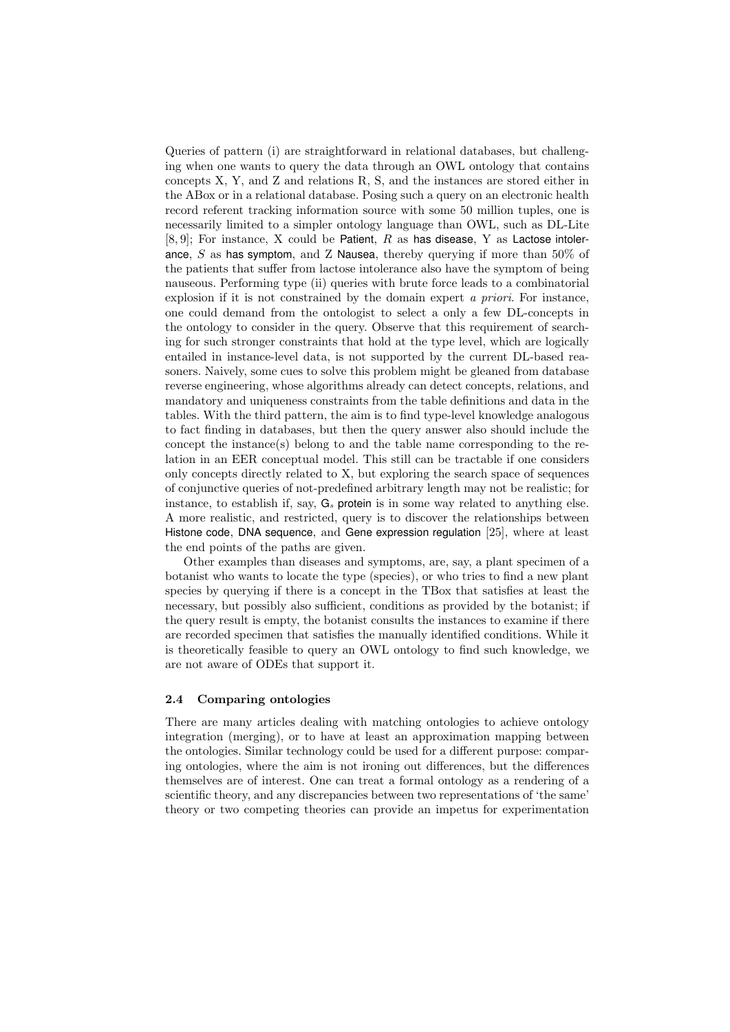Queries of pattern (i) are straightforward in relational databases, but challenging when one wants to query the data through an OWL ontology that contains concepts X, Y, and Z and relations R, S, and the instances are stored either in the ABox or in a relational database. Posing such a query on an electronic health record referent tracking information source with some 50 million tuples, one is necessarily limited to a simpler ontology language than OWL, such as DL-Lite  $[8, 9]$ ; For instance, X could be Patient, R as has disease, Y as Lactose intolerance, S as has symptom, and Z Nausea, thereby querying if more than  $50\%$  of the patients that suffer from lactose intolerance also have the symptom of being nauseous. Performing type (ii) queries with brute force leads to a combinatorial explosion if it is not constrained by the domain expert a priori. For instance, one could demand from the ontologist to select a only a few DL-concepts in the ontology to consider in the query. Observe that this requirement of searching for such stronger constraints that hold at the type level, which are logically entailed in instance-level data, is not supported by the current DL-based reasoners. Naively, some cues to solve this problem might be gleaned from database reverse engineering, whose algorithms already can detect concepts, relations, and mandatory and uniqueness constraints from the table definitions and data in the tables. With the third pattern, the aim is to find type-level knowledge analogous to fact finding in databases, but then the query answer also should include the concept the instance(s) belong to and the table name corresponding to the relation in an EER conceptual model. This still can be tractable if one considers only concepts directly related to X, but exploring the search space of sequences of conjunctive queries of not-predefined arbitrary length may not be realistic; for instance, to establish if, say,  $G_s$  protein is in some way related to anything else. A more realistic, and restricted, query is to discover the relationships between Histone code, DNA sequence, and Gene expression regulation [25], where at least the end points of the paths are given.

Other examples than diseases and symptoms, are, say, a plant specimen of a botanist who wants to locate the type (species), or who tries to find a new plant species by querying if there is a concept in the TBox that satisfies at least the necessary, but possibly also sufficient, conditions as provided by the botanist; if the query result is empty, the botanist consults the instances to examine if there are recorded specimen that satisfies the manually identified conditions. While it is theoretically feasible to query an OWL ontology to find such knowledge, we are not aware of ODEs that support it.

#### 2.4 Comparing ontologies

There are many articles dealing with matching ontologies to achieve ontology integration (merging), or to have at least an approximation mapping between the ontologies. Similar technology could be used for a different purpose: comparing ontologies, where the aim is not ironing out differences, but the differences themselves are of interest. One can treat a formal ontology as a rendering of a scientific theory, and any discrepancies between two representations of 'the same' theory or two competing theories can provide an impetus for experimentation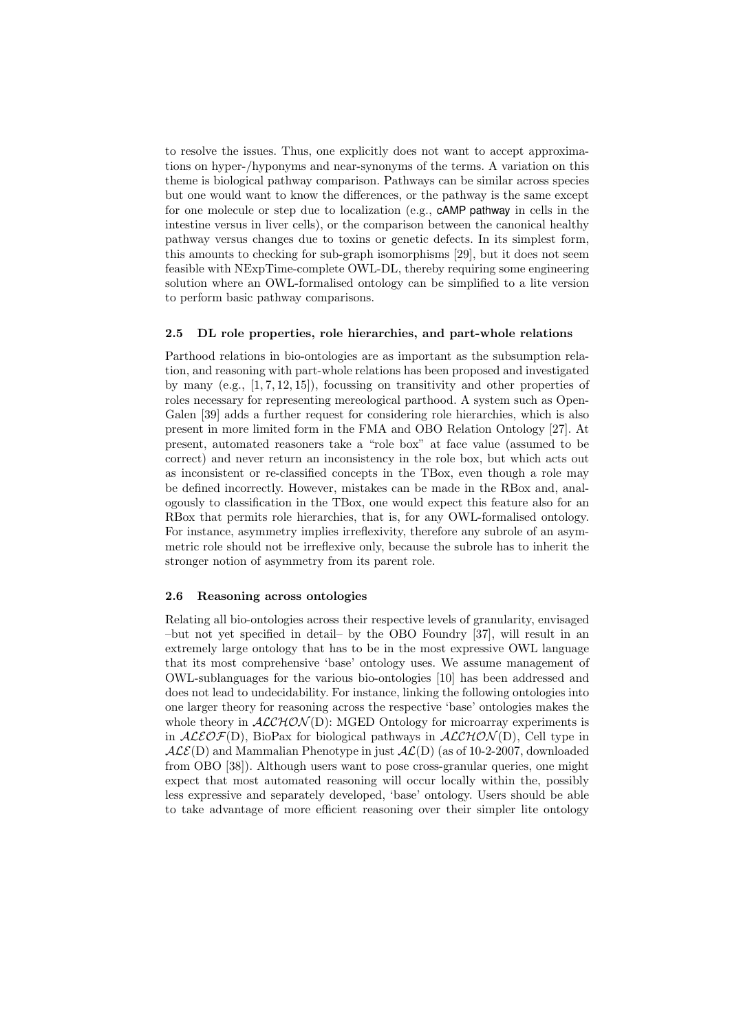to resolve the issues. Thus, one explicitly does not want to accept approximations on hyper-/hyponyms and near-synonyms of the terms. A variation on this theme is biological pathway comparison. Pathways can be similar across species but one would want to know the differences, or the pathway is the same except for one molecule or step due to localization (e.g., cAMP pathway in cells in the intestine versus in liver cells), or the comparison between the canonical healthy pathway versus changes due to toxins or genetic defects. In its simplest form, this amounts to checking for sub-graph isomorphisms [29], but it does not seem feasible with NExpTime-complete OWL-DL, thereby requiring some engineering solution where an OWL-formalised ontology can be simplified to a lite version to perform basic pathway comparisons.

#### 2.5 DL role properties, role hierarchies, and part-whole relations

Parthood relations in bio-ontologies are as important as the subsumption relation, and reasoning with part-whole relations has been proposed and investigated by many (e.g.,  $[1, 7, 12, 15]$ ), focussing on transitivity and other properties of roles necessary for representing mereological parthood. A system such as Open-Galen [39] adds a further request for considering role hierarchies, which is also present in more limited form in the FMA and OBO Relation Ontology [27]. At present, automated reasoners take a "role box" at face value (assumed to be correct) and never return an inconsistency in the role box, but which acts out as inconsistent or re-classified concepts in the TBox, even though a role may be defined incorrectly. However, mistakes can be made in the RBox and, analogously to classification in the TBox, one would expect this feature also for an RBox that permits role hierarchies, that is, for any OWL-formalised ontology. For instance, asymmetry implies irreflexivity, therefore any subrole of an asymmetric role should not be irreflexive only, because the subrole has to inherit the stronger notion of asymmetry from its parent role.

# 2.6 Reasoning across ontologies

Relating all bio-ontologies across their respective levels of granularity, envisaged –but not yet specified in detail– by the OBO Foundry [37], will result in an extremely large ontology that has to be in the most expressive OWL language that its most comprehensive 'base' ontology uses. We assume management of OWL-sublanguages for the various bio-ontologies [10] has been addressed and does not lead to undecidability. For instance, linking the following ontologies into one larger theory for reasoning across the respective 'base' ontologies makes the whole theory in  $ALCHON(D)$ : MGED Ontology for microarray experiments is in  $ALEOF(D)$ , BioPax for biological pathways in  $ALCHON(D)$ , Cell type in  $\mathcal{ALE}(D)$  and Mammalian Phenotype in just  $\mathcal{AL}(D)$  (as of 10-2-2007, downloaded from OBO [38]). Although users want to pose cross-granular queries, one might expect that most automated reasoning will occur locally within the, possibly less expressive and separately developed, 'base' ontology. Users should be able to take advantage of more efficient reasoning over their simpler lite ontology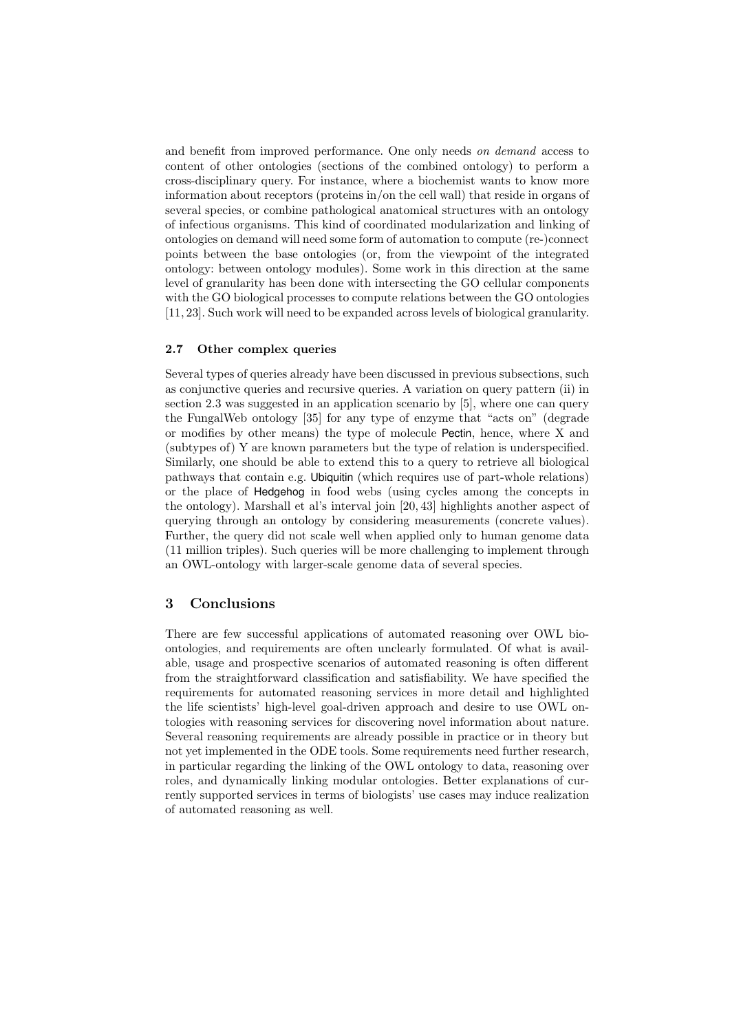and benefit from improved performance. One only needs on demand access to content of other ontologies (sections of the combined ontology) to perform a cross-disciplinary query. For instance, where a biochemist wants to know more information about receptors (proteins in/on the cell wall) that reside in organs of several species, or combine pathological anatomical structures with an ontology of infectious organisms. This kind of coordinated modularization and linking of ontologies on demand will need some form of automation to compute (re-)connect points between the base ontologies (or, from the viewpoint of the integrated ontology: between ontology modules). Some work in this direction at the same level of granularity has been done with intersecting the GO cellular components with the GO biological processes to compute relations between the GO ontologies [11, 23]. Such work will need to be expanded across levels of biological granularity.

## 2.7 Other complex queries

Several types of queries already have been discussed in previous subsections, such as conjunctive queries and recursive queries. A variation on query pattern (ii) in section 2.3 was suggested in an application scenario by [5], where one can query the FungalWeb ontology [35] for any type of enzyme that "acts on" (degrade or modifies by other means) the type of molecule Pectin, hence, where X and (subtypes of) Y are known parameters but the type of relation is underspecified. Similarly, one should be able to extend this to a query to retrieve all biological pathways that contain e.g. Ubiquitin (which requires use of part-whole relations) or the place of Hedgehog in food webs (using cycles among the concepts in the ontology). Marshall et al's interval join [20, 43] highlights another aspect of querying through an ontology by considering measurements (concrete values). Further, the query did not scale well when applied only to human genome data (11 million triples). Such queries will be more challenging to implement through an OWL-ontology with larger-scale genome data of several species.

# 3 Conclusions

There are few successful applications of automated reasoning over OWL bioontologies, and requirements are often unclearly formulated. Of what is available, usage and prospective scenarios of automated reasoning is often different from the straightforward classification and satisfiability. We have specified the requirements for automated reasoning services in more detail and highlighted the life scientists' high-level goal-driven approach and desire to use OWL ontologies with reasoning services for discovering novel information about nature. Several reasoning requirements are already possible in practice or in theory but not yet implemented in the ODE tools. Some requirements need further research, in particular regarding the linking of the OWL ontology to data, reasoning over roles, and dynamically linking modular ontologies. Better explanations of currently supported services in terms of biologists' use cases may induce realization of automated reasoning as well.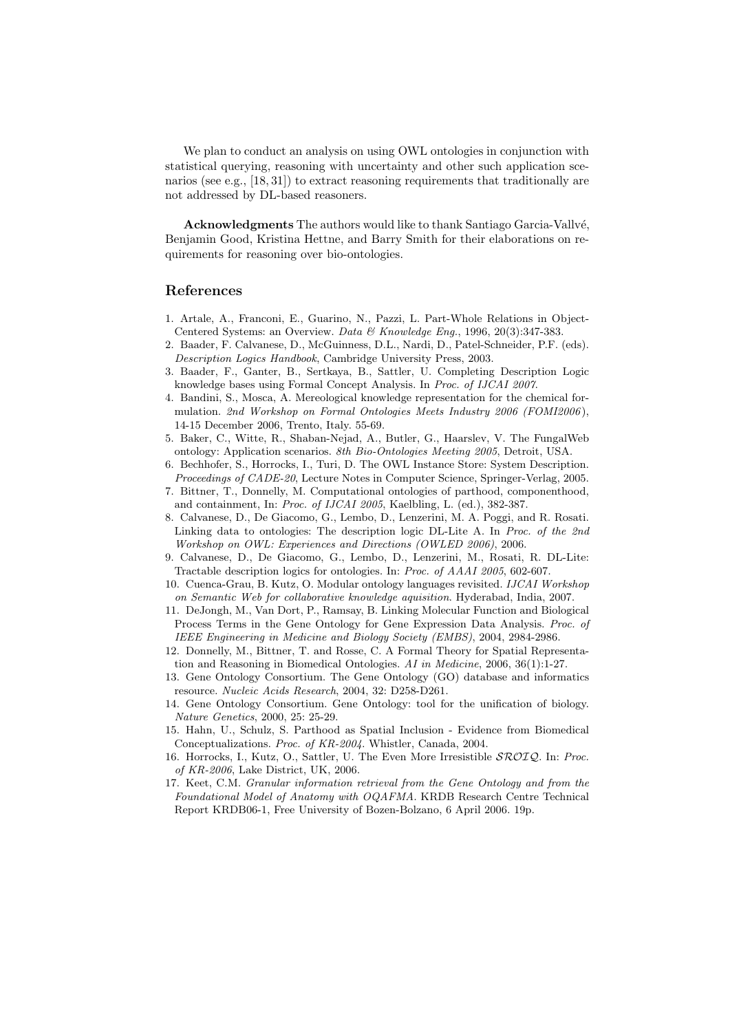We plan to conduct an analysis on using OWL ontologies in conjunction with statistical querying, reasoning with uncertainty and other such application scenarios (see e.g., [18, 31]) to extract reasoning requirements that traditionally are not addressed by DL-based reasoners.

Acknowledgments The authors would like to thank Santiago Garcia-Vallvé, Benjamin Good, Kristina Hettne, and Barry Smith for their elaborations on requirements for reasoning over bio-ontologies.

## References

- 1. Artale, A., Franconi, E., Guarino, N., Pazzi, L. Part-Whole Relations in Object-Centered Systems: an Overview. Data & Knowledge Eng., 1996, 20(3):347-383.
- 2. Baader, F. Calvanese, D., McGuinness, D.L., Nardi, D., Patel-Schneider, P.F. (eds). Description Logics Handbook, Cambridge University Press, 2003.
- 3. Baader, F., Ganter, B., Sertkaya, B., Sattler, U. Completing Description Logic knowledge bases using Formal Concept Analysis. In Proc. of IJCAI 2007.
- 4. Bandini, S., Mosca, A. Mereological knowledge representation for the chemical formulation. 2nd Workshop on Formal Ontologies Meets Industry 2006 (FOMI2006 ), 14-15 December 2006, Trento, Italy. 55-69.
- 5. Baker, C., Witte, R., Shaban-Nejad, A., Butler, G., Haarslev, V. The FungalWeb ontology: Application scenarios. 8th Bio-Ontologies Meeting 2005, Detroit, USA.
- 6. Bechhofer, S., Horrocks, I., Turi, D. The OWL Instance Store: System Description. Proceedings of CADE-20, Lecture Notes in Computer Science, Springer-Verlag, 2005.
- 7. Bittner, T., Donnelly, M. Computational ontologies of parthood, componenthood, and containment, In: Proc. of IJCAI 2005, Kaelbling, L. (ed.), 382-387.
- 8. Calvanese, D., De Giacomo, G., Lembo, D., Lenzerini, M. A. Poggi, and R. Rosati. Linking data to ontologies: The description logic DL-Lite A. In Proc. of the 2nd Workshop on OWL: Experiences and Directions (OWLED 2006), 2006.
- 9. Calvanese, D., De Giacomo, G., Lembo, D., Lenzerini, M., Rosati, R. DL-Lite: Tractable description logics for ontologies. In: Proc. of AAAI 2005, 602-607.
- 10. Cuenca-Grau, B. Kutz, O. Modular ontology languages revisited. IJCAI Workshop on Semantic Web for collaborative knowledge aquisition. Hyderabad, India, 2007.
- 11. DeJongh, M., Van Dort, P., Ramsay, B. Linking Molecular Function and Biological Process Terms in the Gene Ontology for Gene Expression Data Analysis. Proc. of IEEE Engineering in Medicine and Biology Society (EMBS), 2004, 2984-2986.
- 12. Donnelly, M., Bittner, T. and Rosse, C. A Formal Theory for Spatial Representation and Reasoning in Biomedical Ontologies. AI in Medicine, 2006, 36(1):1-27.
- 13. Gene Ontology Consortium. The Gene Ontology (GO) database and informatics resource. Nucleic Acids Research, 2004, 32: D258-D261.
- 14. Gene Ontology Consortium. Gene Ontology: tool for the unification of biology. Nature Genetics, 2000, 25: 25-29.
- 15. Hahn, U., Schulz, S. Parthood as Spatial Inclusion Evidence from Biomedical Conceptualizations. Proc. of KR-2004. Whistler, Canada, 2004.
- 16. Horrocks, I., Kutz, O., Sattler, U. The Even More Irresistible  $\mathcal{SRO}\mathcal{IQ}$ . In: Proc. of KR-2006, Lake District, UK, 2006.
- 17. Keet, C.M. Granular information retrieval from the Gene Ontology and from the Foundational Model of Anatomy with OQAFMA. KRDB Research Centre Technical Report KRDB06-1, Free University of Bozen-Bolzano, 6 April 2006. 19p.